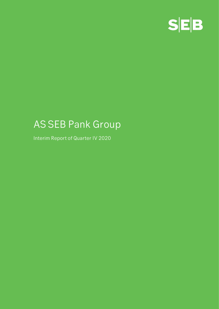

# **AS SEB Pank Group**

**Interim Report of Quarter IV 2020**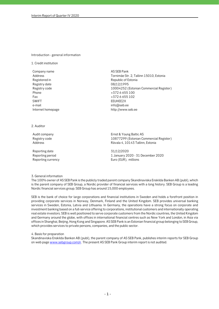## **Introduction - general information**

**1. Credit institution**

**Company name AS SEB Pank Registered in Republic of Estonia Registry date 08/12/1995 Phone +372 6 655 100 Fax +372 6 655 102 SWIFT EEUHEE2X e-mail info@seb.ee Internet homepage http://www.seb.ee** 

**Address Tornimäe Str. 2, Tallinn 15010, Estonia Registry code 10004252 (Estonian Commercial Register)**

**2. Auditor**

**Reporting date 31/12/2020**

**Audit company Ernst & Young Baltic AS Registry code 10877299 (Estonian Commercial Register) Address Rävala 4, 10143 Tallinn, Estonia**

**Reporting period 1 January 2020 - 31 December 2020 Reporting currency Euro (EUR), millions**

**3. General information**

**The 100% owner of AS SEB Pank is the publicly traded parent company Skandinaviska Enskilda Banken AB (publ), which is the parent company of SEB Group, a Nordic provider of financial services with a long history. SEB Group is a leading Nordic financial services group. SEB Group has around 15,000 employees.** 

**SEB is the bank of choice for large corporations and financial institutions in Sweden and holds a forefront position in providing corporate services in Norway, Denmark, Finland and the United Kingdom. SEB provides universal banking services in Sweden, Estonia, Latvia and Lithuania. In Germany, the operations have a strong focus on corporate and investment banking based on a full-service offering to corporations, institutional customers and internationally operating real estate investors. SEB is well positioned to serve corporate customers from the Nordic countries, the United Kingdom and Germany around the globe, with offices in international financial centres such as New York and London, in Asia via offices in Shanghai, Beijing, Hong Kong and Singapore. AS SEB Pank is an Estonian financial group belonging to SEB Group, which provides services to private persons, companies, and the public sector.**

**4. Basis for preparation**

**Skandinaviska Enskilda Banken AB (publ), the parent company of AS SEB Pank, publishes interim reports for SEB Group on web page www.sebgroup.com/ir. The present AS SEB Pank Group interim report is not audited.**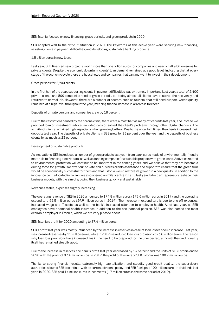## **SEB Estonia focused on new financing, grace periods, and green products in 2020**

**SEB adapted well to the difficult situation in 2020. The keywords of this active year were securing new financing, assisting clients in payment difficulties, and developing sustainable banking products.**

## **1.5 billion euros in new loans**

**Last year, SEB financed new projects worth more than one billion euros for companies and nearly half a billion euros for private clients. Despite the economic downturn, clients' loan demand remained at a good level, indicating that at every stage of the economic cycle there are households and companies that can and want to invest in their development.**

## **Grace periods for 2,900 clients**

**In the first half of the year, supporting clients in payment difficulties was extremely important. Last year, a total of 2,400 private clients and 500 companies needed grace periods, but today almost all clients have restored their solvency and returned to normal life. However, there are a number of sectors, such as tourism, that still need support. Credit quality remained at a high level throughout the year, meaning that no increase in arrears is foreseen.**

## **Deposits of private persons and companies grew by 18 percent**

**Due to the restrictions caused by the corona crisis, there were almost half as many office visits last year, and instead we provided loan or investment advice via video calls or solved the client's problems through other digital channels. The activity of clients remained high, especially when growing buffers. Due to the uncertain times, the clients increased their deposits last year. The deposits of private clients in SEB grew by 13 percent over the year and the deposits of business clients by as much as 23 percent.**

## **Development of sustainable products**

**As innovations, SEB introduced a number of green products last year, from bank cards made of environmentally friendly materials to financing electric cars, as well as funding companies' sustainable projects with green loans. Activities related to environmental protection will continue to be important in the coming years, and we believe that they are become a driving force for growth. We offer our private and business clients assistance and support to ensure that the green turn would be economically successful for them and that Estonia would restore its growth in a new quality. In addition to the innovation centre located in Tallinn, we also opened a similar centre in Tartu last year to help entrepreneurs reshape their business models, with the aim of growing their business quickly and sustainably.**

#### **Revenues stable, expenses slightly increasing**

**The operating revenue of SEB in 2020 amounted to 174.8 million euros (173.6 million euros in 2019) and the operating expenditure 62.5 million euros (59.9 million euros in 2019). The increase in expenditure is due to one-off expenses, increased wage and IT costs, as well as the bank's increased attention to employee health. As of last year, all SEB employees have additional health insurance in addition to the occupational pension. SEB was also named the most desirable employer in Estonia, which we are very pleased about.**

## **SEB Estonia's profit for 2020 amounting to 87.4 million euros**

**SEB's profit last year was mostly influenced by the increase in reserves in case of loan losses should increase. Last year, we increased reserves by 11 million euros, while in 2019 we reduced loan loss provisions by 3.8 million euros. The reason why loan loss provisions have increased lies in the need to be prepared for the unexpected, although the credit quality itself has remained steadily good.**

**Due to the increase in reserves, the bank's profit last year decreased by 13 percent and the units of SEB Estonia ended 2020 with the profit of 87.4 million euros. In 2019, the profit of the units of SEB Estonia was 100.7 million euros.**

**Thanks to strong financial results, extremely high capitalisation, and steadily good credit quality, the supervisory authorities allowed SEB to continue with its current dividend policy, and SEB Pank paid 100 million euros in dividends last year. In 2020, SEB paid 14 million euros in income tax (17 million euros in the same period of 2019).**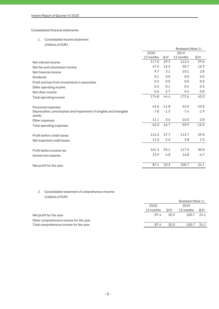## **Consolidated financial statements**

## **1. Consolidated income statement**

**(millions of EUR)**

| 2019<br>2020<br>12 months<br>QIV<br>12 months<br>QIV<br>117.0<br>29.3<br>112.4<br>29.0<br>Net interest income<br>47.5<br>12.2<br>50.7<br>12.9<br>Net fee and commission income<br>9.7<br>3.1<br>10.1<br>2.8<br>Net financial income<br>0.0<br>0.1<br>0.0<br>0.0<br>Dividends<br>0.0<br>0.2<br>0.0<br>0.0<br>Profit and loss from investments in associates<br>$-0.1$<br>0.3<br>0.4<br>0.3<br>Other operating income<br>$-2.7$<br>0.6<br>0.4<br>$-3.8$<br>Net other income<br>174.8<br>44.4<br>45.0<br>173.6<br>Total operating income<br>$-43.6$<br>$-11.8$<br>$-42.0$<br>$-10.5$<br>Personnel expenses<br>$-7.4$<br>$-7.8$<br>$-1.3$<br>Depreciation, amortization and impairment of tangible and intangible<br>$-1.9$<br>assets<br>$-11.1$<br>$-3.6$<br>$-10.5$<br>$-2.8$<br>Other expenses<br>$-62.5$<br>$-59.9$<br>$-15.2$<br>$-16.7$<br>Total operating expenses<br>112.3<br>27.7<br>29.8<br>113.7<br>Profit before credit losses<br>$-11.0$<br>$-2.6$<br>3.8<br>1.0<br>Net expected credit losses<br>101.3<br>25.1<br>117.5<br>30.8<br>Profit before income tax<br>$-13.9$<br>$-4.8$<br>$-16.8$<br>$-6.7$<br>Income tax expense<br>20.3<br>24.1<br>87.4<br>100.7<br>Net profit for the year | Restated (Note 1) |  |  |  |
|---------------------------------------------------------------------------------------------------------------------------------------------------------------------------------------------------------------------------------------------------------------------------------------------------------------------------------------------------------------------------------------------------------------------------------------------------------------------------------------------------------------------------------------------------------------------------------------------------------------------------------------------------------------------------------------------------------------------------------------------------------------------------------------------------------------------------------------------------------------------------------------------------------------------------------------------------------------------------------------------------------------------------------------------------------------------------------------------------------------------------------------------------------------------------------------------------|-------------------|--|--|--|
|                                                                                                                                                                                                                                                                                                                                                                                                                                                                                                                                                                                                                                                                                                                                                                                                                                                                                                                                                                                                                                                                                                                                                                                                   |                   |  |  |  |
|                                                                                                                                                                                                                                                                                                                                                                                                                                                                                                                                                                                                                                                                                                                                                                                                                                                                                                                                                                                                                                                                                                                                                                                                   |                   |  |  |  |
|                                                                                                                                                                                                                                                                                                                                                                                                                                                                                                                                                                                                                                                                                                                                                                                                                                                                                                                                                                                                                                                                                                                                                                                                   |                   |  |  |  |
|                                                                                                                                                                                                                                                                                                                                                                                                                                                                                                                                                                                                                                                                                                                                                                                                                                                                                                                                                                                                                                                                                                                                                                                                   |                   |  |  |  |
|                                                                                                                                                                                                                                                                                                                                                                                                                                                                                                                                                                                                                                                                                                                                                                                                                                                                                                                                                                                                                                                                                                                                                                                                   |                   |  |  |  |
|                                                                                                                                                                                                                                                                                                                                                                                                                                                                                                                                                                                                                                                                                                                                                                                                                                                                                                                                                                                                                                                                                                                                                                                                   |                   |  |  |  |
|                                                                                                                                                                                                                                                                                                                                                                                                                                                                                                                                                                                                                                                                                                                                                                                                                                                                                                                                                                                                                                                                                                                                                                                                   |                   |  |  |  |
|                                                                                                                                                                                                                                                                                                                                                                                                                                                                                                                                                                                                                                                                                                                                                                                                                                                                                                                                                                                                                                                                                                                                                                                                   |                   |  |  |  |
|                                                                                                                                                                                                                                                                                                                                                                                                                                                                                                                                                                                                                                                                                                                                                                                                                                                                                                                                                                                                                                                                                                                                                                                                   |                   |  |  |  |
|                                                                                                                                                                                                                                                                                                                                                                                                                                                                                                                                                                                                                                                                                                                                                                                                                                                                                                                                                                                                                                                                                                                                                                                                   |                   |  |  |  |
|                                                                                                                                                                                                                                                                                                                                                                                                                                                                                                                                                                                                                                                                                                                                                                                                                                                                                                                                                                                                                                                                                                                                                                                                   |                   |  |  |  |
|                                                                                                                                                                                                                                                                                                                                                                                                                                                                                                                                                                                                                                                                                                                                                                                                                                                                                                                                                                                                                                                                                                                                                                                                   |                   |  |  |  |
|                                                                                                                                                                                                                                                                                                                                                                                                                                                                                                                                                                                                                                                                                                                                                                                                                                                                                                                                                                                                                                                                                                                                                                                                   |                   |  |  |  |
|                                                                                                                                                                                                                                                                                                                                                                                                                                                                                                                                                                                                                                                                                                                                                                                                                                                                                                                                                                                                                                                                                                                                                                                                   |                   |  |  |  |
|                                                                                                                                                                                                                                                                                                                                                                                                                                                                                                                                                                                                                                                                                                                                                                                                                                                                                                                                                                                                                                                                                                                                                                                                   |                   |  |  |  |
|                                                                                                                                                                                                                                                                                                                                                                                                                                                                                                                                                                                                                                                                                                                                                                                                                                                                                                                                                                                                                                                                                                                                                                                                   |                   |  |  |  |
|                                                                                                                                                                                                                                                                                                                                                                                                                                                                                                                                                                                                                                                                                                                                                                                                                                                                                                                                                                                                                                                                                                                                                                                                   |                   |  |  |  |
|                                                                                                                                                                                                                                                                                                                                                                                                                                                                                                                                                                                                                                                                                                                                                                                                                                                                                                                                                                                                                                                                                                                                                                                                   |                   |  |  |  |
|                                                                                                                                                                                                                                                                                                                                                                                                                                                                                                                                                                                                                                                                                                                                                                                                                                                                                                                                                                                                                                                                                                                                                                                                   |                   |  |  |  |

# **2. Consolidated statement of comprehensive income (millions of EUR)**

|                                         | Restated (Note 1) |      |           |      |
|-----------------------------------------|-------------------|------|-----------|------|
|                                         | 2020<br>2019      |      |           |      |
|                                         | 12 months         | QIV  | 12 months | Q IV |
| Net profit for the year                 | 87.4              | 20.3 | 100.7     | 24.1 |
| Other comprehensive income for the year |                   |      |           |      |
| Total comprehensive income for the year | 87.4              | 20.3 | 100.7     | 24.1 |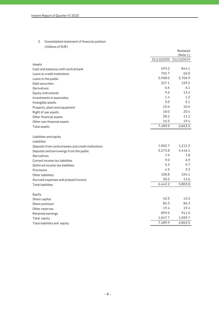# **3. Consolidated statement of financial position (millions of EUR)**

|                                                     |         | Restated              |
|-----------------------------------------------------|---------|-----------------------|
|                                                     |         | (Note 1)              |
|                                                     |         | 31/12/2020 31/12/2019 |
| Assets                                              |         |                       |
| Cash and balances with central bank                 | 493.2   | 844.1                 |
| Loans to credit institutions                        | 765.7   | 66.0                  |
| Loans to the public                                 | 5,908.0 | 5,706.9               |
| Debt securities                                     | 227.1   | 159.2                 |
| Derivatives                                         | 6.6     | 6.1                   |
| Equity instruments                                  | 9.6     | 13.4                  |
| Investments in associates                           | 1.4     | 1.2                   |
| Intangible assets                                   | 5.0     | 5.1                   |
| Property, plant and equipment                       | 10.6    | 10.6                  |
| Right of use assets                                 | 18.0    | 20.4                  |
| Other financial assets                              | 28.2    | 11.1                  |
| Other non-financial assets                          | 16.5    | 19.4                  |
| <b>Total assets</b>                                 | 7,489.9 | 6,863.5               |
| Liabilities and equity                              |         |                       |
| Liabilities                                         |         |                       |
| Deposits from central banks and credit institutions | 1,002.7 | 1,212.3               |
| Deposits and borrowings from the public             | 5,273.8 | 4,446.1               |
| Derivatives                                         | 7.9     | 7.8                   |
| Current income tax liabilities                      | 9.0     | 6.9                   |
| Deferred income tax liabilities                     | 5.3     | 9.7                   |
| Provisions                                          | 4.5     | 3.3                   |
| Other liabilities                                   | 108.8   | 104.1                 |
| Accrued expenses and prepaid income                 | 30.2    | 13.6                  |
| <b>Total liabilities</b>                            | 6,442.2 | 5,803.8               |
| Equity                                              |         |                       |
| Share capital                                       | 42.5    | 42.5                  |
| Share premium                                       | 86.3    | 86.3                  |
| Other reserves                                      | 19.4    | 19.4                  |
| Retained earnings                                   | 899.5   | 911.5                 |
| Total equity                                        | 1,047.7 | 1,059.7               |
| Total liabilities and equity                        | 7,489.9 | 6,863.5               |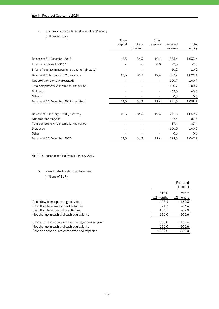# **4. Changes in consolidated shareholders' equity (millions of EUR)**

|                                                    | Share   |         | Other                    |          |             |
|----------------------------------------------------|---------|---------|--------------------------|----------|-------------|
|                                                    | capital | Share   | reserves                 | Retained | Total       |
|                                                    |         | premium |                          | earnings | equity      |
|                                                    |         |         |                          |          |             |
| Balance at 31 December 2018                        | 42,5    | 86,3    | 19,4                     | 885,4    | 1033,6      |
| Effect of applying IFRS16 *                        |         |         | 0,0                      | $-2,0$   | $-2,0$      |
| Effect of changes in accounting treatment (Note 1) |         |         | $\overline{a}$           | $-10,2$  | $-10,2$     |
| Balance at 1 January 2019 (restated)               | 42,5    | 86,3    | 19,4                     | 873,2    | 1 0 2 1 , 4 |
| Net profit for the year (restated)                 |         |         |                          | 100,7    | 100,7       |
| Total comprehensive income for the period          |         |         | $\overline{\phantom{0}}$ | 100,7    | 100,7       |
| <b>Dividends</b>                                   |         |         |                          | $-63,0$  | $-63,0$     |
| Other**                                            |         |         |                          | 0,6      | 0,6         |
| Balance at 31 December 2019 (restated)             | 42,5    | 86,3    | 19,4                     | 911,5    | 1059,7      |
| Balance at 1 January 2020 (restated)               | 42,5    | 86,3    | 19,4                     | 911,5    | 1059,7      |
| Net profit for the year                            |         |         |                          | 87,4     | 87,4        |
| Total comprehensive income for the period          |         |         |                          | 87,4     | 87,4        |
| <b>Dividends</b>                                   |         |         | $\overline{\phantom{0}}$ | $-100,0$ | $-100,0$    |
| Other**                                            |         |         |                          | 0,6      | 0,6         |
| Balance at 31 December 2020                        | 42,5    | 86,3    | 19,4                     | 899,5    | 1 0 4 7, 7  |

**\*IFRS 16 Leases is applied from 1 January 2019**

# **5. Consolidated cash flow statement (millions of EUR)**

|                                                    |           | Restated  |
|----------------------------------------------------|-----------|-----------|
|                                                    |           | (Note 1)  |
|                                                    | 2020      | 2019      |
|                                                    | 12 months | 12 months |
| Cash flow from operating activities                | 408.4     | $-169.3$  |
| Cash flow from investment activities               | $-71.7$   | $-63.4$   |
| Cash flow from financing activities                | $-104.7$  | -67.9     |
| Net change in cash and cash equivalents            | 232.0     | -300.6    |
| Cash and cash equivalents at the beginning of year | 850.0     | 1,150.6   |
| Net change in cash and cash equivalents            | 232.0     | -300.6    |
| Cash and cash equivalents at the end of period     | 1,082.0   | 850.0     |